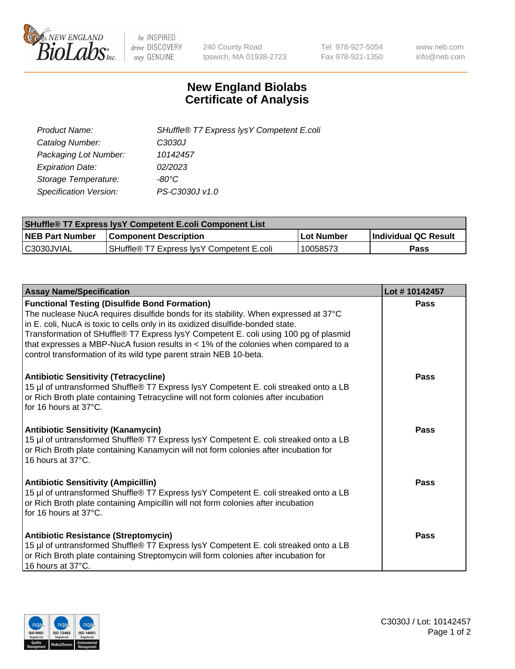

 $be$  INSPIRED drive DISCOVERY stay GENUINE

240 County Road Ipswich, MA 01938-2723 Tel 978-927-5054 Fax 978-921-1350 www.neb.com info@neb.com

## **New England Biolabs Certificate of Analysis**

| Product Name:                 | SHuffle® T7 Express lysY Competent E.coli |
|-------------------------------|-------------------------------------------|
| Catalog Number:               | C3030J                                    |
| Packaging Lot Number:         | 10142457                                  |
| <b>Expiration Date:</b>       | 02/2023                                   |
| Storage Temperature:          | -80°C                                     |
| <b>Specification Version:</b> | PS-C3030J v1.0                            |

| <b>SHuffle® T7 Express lysY Competent E.coli Component List</b> |                                           |                   |                             |  |
|-----------------------------------------------------------------|-------------------------------------------|-------------------|-----------------------------|--|
| <b>NEB Part Number</b>                                          | <b>Component Description</b>              | <b>Lot Number</b> | <b>Individual QC Result</b> |  |
| C3030JVIAL                                                      | SHuffle® T7 Express IysY Competent E.coli | 10058573          | Pass                        |  |

| <b>Assay Name/Specification</b>                                                                                                                                                                                                                                                                                                                                                                                                                                                      | Lot #10142457 |
|--------------------------------------------------------------------------------------------------------------------------------------------------------------------------------------------------------------------------------------------------------------------------------------------------------------------------------------------------------------------------------------------------------------------------------------------------------------------------------------|---------------|
| <b>Functional Testing (Disulfide Bond Formation)</b><br>The nuclease NucA requires disulfide bonds for its stability. When expressed at 37°C<br>in E. coli, NucA is toxic to cells only in its oxidized disulfide-bonded state.<br>Transformation of SHuffle® T7 Express lysY Competent E. coli using 100 pg of plasmid<br>that expresses a MBP-NucA fusion results in < 1% of the colonies when compared to a<br>control transformation of its wild type parent strain NEB 10-beta. | Pass          |
| <b>Antibiotic Sensitivity (Tetracycline)</b><br>15 µl of untransformed Shuffle® T7 Express lysY Competent E. coli streaked onto a LB<br>or Rich Broth plate containing Tetracycline will not form colonies after incubation<br>for 16 hours at 37°C.                                                                                                                                                                                                                                 | Pass          |
| <b>Antibiotic Sensitivity (Kanamycin)</b><br>15 µl of untransformed Shuffle® T7 Express lysY Competent E. coli streaked onto a LB<br>or Rich Broth plate containing Kanamycin will not form colonies after incubation for<br>16 hours at 37°C.                                                                                                                                                                                                                                       | Pass          |
| <b>Antibiotic Sensitivity (Ampicillin)</b><br>15 µl of untransformed Shuffle® T7 Express lysY Competent E. coli streaked onto a LB<br>or Rich Broth plate containing Ampicillin will not form colonies after incubation<br>for 16 hours at 37°C.                                                                                                                                                                                                                                     | <b>Pass</b>   |
| Antibiotic Resistance (Streptomycin)<br>15 µl of untransformed Shuffle® T7 Express lysY Competent E. coli streaked onto a LB<br>or Rich Broth plate containing Streptomycin will form colonies after incubation for<br>16 hours at 37°C.                                                                                                                                                                                                                                             | Pass          |